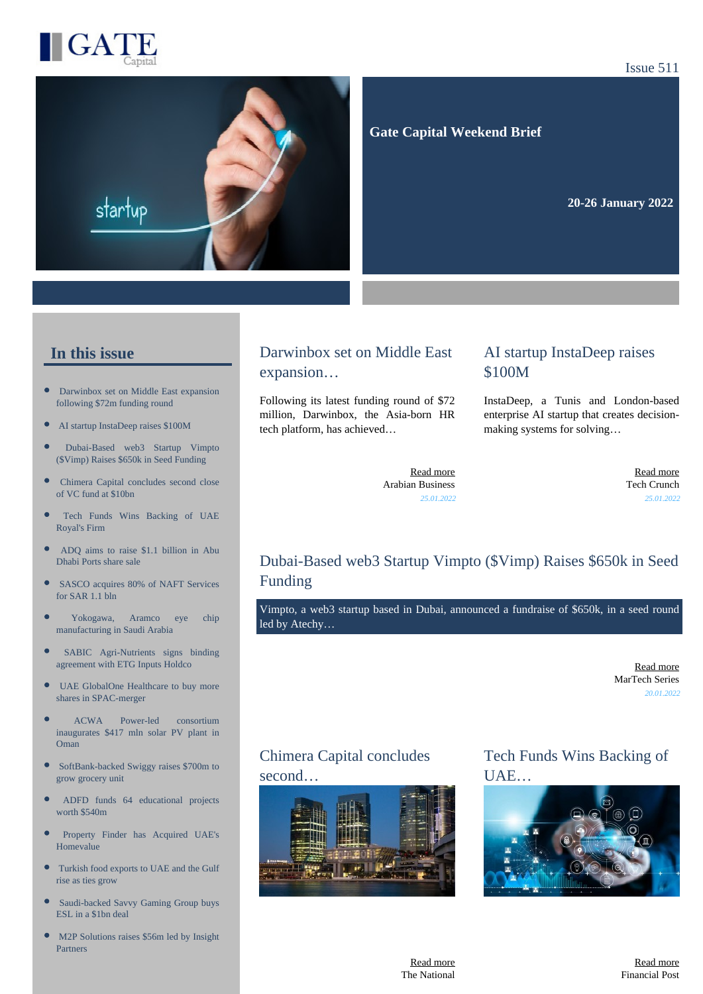

#### Issue 511



 **Gate Capital Weekend Brief**

**20-26 January 2022** 

## **In this issue**

- [Darwinbox set on Middle East expansion](https://gatecapital.net/back_office/newsletters/tracking/5615/653) [following \\$72m funding round](https://gatecapital.net/back_office/newsletters/tracking/5615/653)
- [AI startup InstaDeep raises \\$100M](https://gatecapital.net/back_office/newsletters/tracking/5622/653)
- [Dubai-Based web3 Startup Vimpto](https://gatecapital.net/back_office/newsletters/tracking/5628/653) [\(\\$Vimp\) Raises \\$650k in Seed Funding](https://gatecapital.net/back_office/newsletters/tracking/5628/653)
- $\bullet$ [Chimera Capital concludes second close](https://gatecapital.net/back_office/newsletters/tracking/5614/653) [of VC fund at \\$10bn](https://gatecapital.net/back_office/newsletters/tracking/5614/653)
- [Tech Funds Wins Backing of UAE](https://gatecapital.net/back_office/newsletters/tracking/5616/653) [Royal's Firm](https://gatecapital.net/back_office/newsletters/tracking/5616/653)
- $\bullet$ [ADQ aims to raise \\$1.1 billion in Abu](https://gatecapital.net/back_office/newsletters/tracking/5620/653) [Dhabi Ports share sale](https://gatecapital.net/back_office/newsletters/tracking/5620/653)
- [SASCO acquires 80% of NAFT Services](https://gatecapital.net/back_office/newsletters/tracking/5617/653) [for SAR 1.1 bln](https://gatecapital.net/back_office/newsletters/tracking/5617/653)
- [Yokogawa, Aramco eye chip](https://gatecapital.net/back_office/newsletters/tracking/5623/653) [manufacturing in Saudi Arabia](https://gatecapital.net/back_office/newsletters/tracking/5623/653)
- $\bullet$ [SABIC Agri-Nutrients signs binding](https://gatecapital.net/back_office/newsletters/tracking/5610/653) [agreement with ETG Inputs Holdco](https://gatecapital.net/back_office/newsletters/tracking/5610/653)
- $\bullet$ [UAE GlobalOne Healthcare to buy more](https://gatecapital.net/back_office/newsletters/tracking/5624/653) [shares in SPAC-merger](https://gatecapital.net/back_office/newsletters/tracking/5624/653)
- [ACWA Power-led consortium](https://gatecapital.net/back_office/newsletters/tracking/5630/653) [inaugurates \\$417 mln solar PV plant in](https://gatecapital.net/back_office/newsletters/tracking/5630/653) [Oman](https://gatecapital.net/back_office/newsletters/tracking/5630/653)
- [SoftBank-backed Swiggy raises \\$700m to](https://gatecapital.net/back_office/newsletters/tracking/5613/653) [grow grocery unit](https://gatecapital.net/back_office/newsletters/tracking/5613/653)
- [ADFD funds 64 educational projects](https://gatecapital.net/back_office/newsletters/tracking/5619/653) [worth \\$540m](https://gatecapital.net/back_office/newsletters/tracking/5619/653)
- [Property Finder has Acquired UAE's](https://gatecapital.net/back_office/newsletters/tracking/5618/653) [Homevalue](https://gatecapital.net/back_office/newsletters/tracking/5618/653)
- [Turkish food exports to UAE and the Gulf](https://gatecapital.net/back_office/newsletters/tracking/5629/653) [rise as ties grow](https://gatecapital.net/back_office/newsletters/tracking/5629/653)
- [Saudi-backed Savvy Gaming Group buys](https://gatecapital.net/back_office/newsletters/tracking/5621/653) [ESL in a \\$1bn deal](https://gatecapital.net/back_office/newsletters/tracking/5621/653)
- [M2P Solutions raises \\$56m led by Insight](https://gatecapital.net/back_office/newsletters/tracking/5612/653) [Partners](https://gatecapital.net/back_office/newsletters/tracking/5612/653)

## Darwinbox set on Middle East expansion…

Following its latest funding round of \$72 million, Darwinbox, the Asia-born HR tech platform, has achieved…

## AI startup InstaDeep raises \$100M

InstaDeep, a Tunis and London-based enterprise AI startup that creates decisionmaking systems for solving…

[Read more](https://gatecapital.net/back_office/newsletters/tracking/5615/653) Arabian Business *25.01.2022*

[Read more](https://gatecapital.net/back_office/newsletters/tracking/5622/653) Tech Crunch *25.01.2022*

# Dubai-Based web3 Startup Vimpto (\$Vimp) Raises \$650k in Seed Funding

Vimpto, a web3 startup based in Dubai, announced a fundraise of \$650k, in a seed round led by Atechy…

> [Read more](https://gatecapital.net/back_office/newsletters/tracking/5628/653) MarTech Series *20.01.2022*

# Chimera Capital concludes second…



Tech Funds Wins Backing of UAE…



[Read more](https://gatecapital.net/back_office/newsletters/tracking/5614/653) The National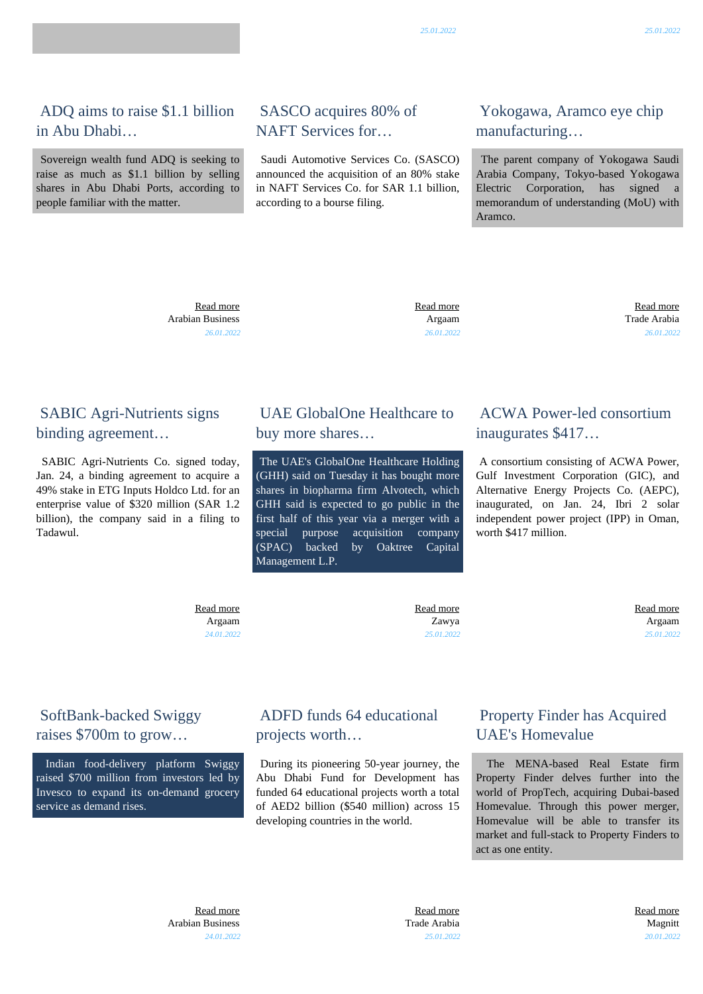ADQ aims to raise \$1.1 billion in Abu Dhabi…

 Sovereign wealth fund ADQ is seeking to raise as much as \$1.1 billion by selling shares in Abu Dhabi Ports, according to people familiar with the matter.

# SASCO acquires 80% of NAFT Services for…

 Saudi Automotive Services Co. (SASCO) announced the acquisition of an 80% stake in NAFT Services Co. for SAR 1.1 billion, according to a bourse filing.

## Yokogawa, Aramco eye chip manufacturing…

 The parent company of Yokogawa Saudi Arabia Company, Tokyo-based Yokogawa Electric Corporation, has signed memorandum of understanding (MoU) with Aramco.

 [Read more](https://gatecapital.net/back_office/newsletters/tracking/5620/653) Arabian Business *26.01.2022*  [Read more](https://gatecapital.net/back_office/newsletters/tracking/5617/653) Argaam *26.01.2022*

 [Read more](https://gatecapital.net/back_office/newsletters/tracking/5623/653) Trade Arabia *26.01.2022*

## SABIC Agri-Nutrients signs binding agreement…

 SABIC Agri-Nutrients Co. signed today, Jan. 24, a binding agreement to acquire a 49% stake in ETG Inputs Holdco Ltd. for an enterprise value of \$320 million (SAR 1.2 billion), the company said in a filing to Tadawul.

#### UAE GlobalOne Healthcare to buy more shares…

 The UAE's GlobalOne Healthcare Holding (GHH) said on Tuesday it has bought more shares in biopharma firm Alvotech, which GHH said is expected to go public in the first half of this year via a merger with a special purpose acquisition company (SPAC) backed by Oaktree Capital Management L.P.

#### ACWA Power-led consortium inaugurates \$417…

 A consortium consisting of ACWA Power, Gulf Investment Corporation (GIC), and Alternative Energy Projects Co. (AEPC), inaugurated, on Jan. 24, Ibri 2 solar independent power project (IPP) in Oman, worth \$417 million.

 [Read more](https://gatecapital.net/back_office/newsletters/tracking/5610/653) Argaam *24.01.2022*  [Read more](https://gatecapital.net/back_office/newsletters/tracking/5624/653) Zawya *25.01.2022*  [Read more](https://gatecapital.net/back_office/newsletters/tracking/5630/653) Argaam *25.01.2022*

## SoftBank-backed Swiggy raises \$700m to grow…

 Indian food-delivery platform Swiggy raised \$700 million from investors led by Invesco to expand its on-demand grocery service as demand rises.

#### ADFD funds 64 educational projects worth…

 During its pioneering 50-year journey, the Abu Dhabi Fund for Development has funded 64 educational projects worth a total of AED2 billion (\$540 million) across 15 developing countries in the world.

## Property Finder has Acquired UAE's Homevalue

 The MENA-based Real Estate firm Property Finder delves further into the world of PropTech, acquiring Dubai-based Homevalue. Through this power merger, Homevalue will be able to transfer its market and full-stack to Property Finders to act as one entity.

 [Read more](https://gatecapital.net/back_office/newsletters/tracking/5613/653) Arabian Business *24.01.2022*

 [Read more](https://gatecapital.net/back_office/newsletters/tracking/5619/653) Trade Arabia *25.01.2022*  [Read more](https://gatecapital.net/back_office/newsletters/tracking/5618/653) Magnitt *20.01.2022*